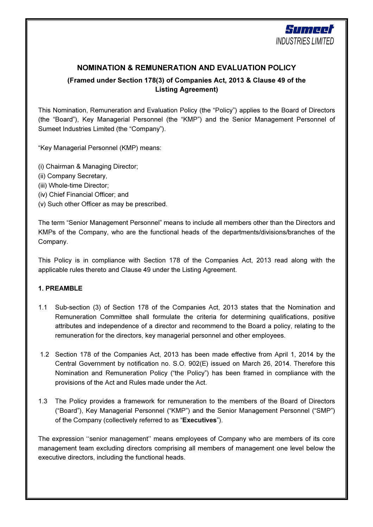

# NOMINATION & REMUNERATION AND EVALUATION POLICY

# (Framed under Section 178(3) of Companies Act, 2013 & Clause 49 of the Listing Agreement)

This Nomination, Remuneration and Evaluation Policy (the "Policy") applies to the Board of Directors (the "Board"), Key Managerial Personnel (the "KMP") and the Senior Management Personnel of Sumeet Industries Limited (the "Company").

"Key Managerial Personnel (KMP) means:

(i) Chairman & Managing Director;

- (ii) Company Secretary,
- (iii) Whole-time Director;
- (iv) Chief Financial Officer; and
- (v) Such other Officer as may be prescribed.

The term "Senior Management Personnel" means to include all members other than the Directors and KMPs of the Company, who are the functional heads of the departments/divisions/branches of the Company.

This Policy is in compliance with Section 178 of the Companies Act, 2013 read along with the applicable rules thereto and Clause 49 under the Listing Agreement.

# 1. PREAMBLE

- 1.1 Sub-section (3) of Section 178 of the Companies Act, 2013 states that the Nomination and Remuneration Committee shall formulate the criteria for determining qualifications, positive attributes and independence of a director and recommend to the Board a policy, relating to the remuneration for the directors, key managerial personnel and other employees.
- 1.2 Section 178 of the Companies Act, 2013 has been made effective from April 1, 2014 by the Central Government by notification no. S.O. 902(E) issued on March 26, 2014. Therefore this Nomination and Remuneration Policy ("the Policy") has been framed in compliance with the provisions of the Act and Rules made under the Act.
- 1.3 The Policy provides a framework for remuneration to the members of the Board of Directors ("Board"), Key Managerial Personnel ("KMP") and the Senior Management Personnel ("SMP") of the Company (collectively referred to as "Executives").

The expression ''senior management'' means employees of Company who are members of its core management team excluding directors comprising all members of management one level below the executive directors, including the functional heads.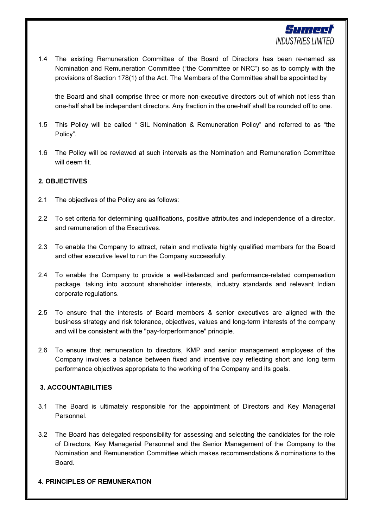

1.4 The existing Remuneration Committee of the Board of Directors has been re-named as Nomination and Remuneration Committee ("the Committee or NRC") so as to comply with the provisions of Section 178(1) of the Act. The Members of the Committee shall be appointed by

the Board and shall comprise three or more non-executive directors out of which not less than one-half shall be independent directors. Any fraction in the one-half shall be rounded off to one.

- 1.5 This Policy will be called " SIL Nomination & Remuneration Policy" and referred to as "the Policy".
- 1.6 The Policy will be reviewed at such intervals as the Nomination and Remuneration Committee will deem fit.

# 2. OBJECTIVES

- 2.1 The objectives of the Policy are as follows:
- 2.2 To set criteria for determining qualifications, positive attributes and independence of a director, and remuneration of the Executives.
- 2.3 To enable the Company to attract, retain and motivate highly qualified members for the Board and other executive level to run the Company successfully.
- 2.4 To enable the Company to provide a well-balanced and performance-related compensation package, taking into account shareholder interests, industry standards and relevant Indian corporate regulations.
- 2.5 To ensure that the interests of Board members & senior executives are aligned with the business strategy and risk tolerance, objectives, values and long-term interests of the company and will be consistent with the "pay-forperformance" principle.
- 2.6 To ensure that remuneration to directors, KMP and senior management employees of the Company involves a balance between fixed and incentive pay reflecting short and long term performance objectives appropriate to the working of the Company and its goals.

# 3. ACCOUNTABILITIES

- 3.1 The Board is ultimately responsible for the appointment of Directors and Key Managerial Personnel.
- 3.2 The Board has delegated responsibility for assessing and selecting the candidates for the role of Directors, Key Managerial Personnel and the Senior Management of the Company to the Nomination and Remuneration Committee which makes recommendations & nominations to the Board.

#### 4. PRINCIPLES OF REMUNERATION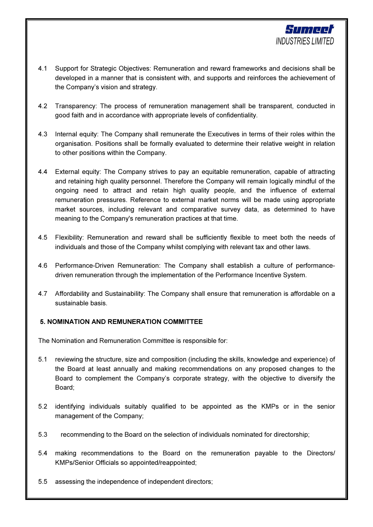

- 4.1 Support for Strategic Objectives: Remuneration and reward frameworks and decisions shall be developed in a manner that is consistent with, and supports and reinforces the achievement of the Company's vision and strategy.
- 4.2 Transparency: The process of remuneration management shall be transparent, conducted in good faith and in accordance with appropriate levels of confidentiality.
- 4.3 Internal equity: The Company shall remunerate the Executives in terms of their roles within the organisation. Positions shall be formally evaluated to determine their relative weight in relation to other positions within the Company.
- 4.4 External equity: The Company strives to pay an equitable remuneration, capable of attracting and retaining high quality personnel. Therefore the Company will remain logically mindful of the ongoing need to attract and retain high quality people, and the influence of external remuneration pressures. Reference to external market norms will be made using appropriate market sources, including relevant and comparative survey data, as determined to have meaning to the Company's remuneration practices at that time.
- 4.5 Flexibility: Remuneration and reward shall be sufficiently flexible to meet both the needs of individuals and those of the Company whilst complying with relevant tax and other laws.
- 4.6 Performance-Driven Remuneration: The Company shall establish a culture of performancedriven remuneration through the implementation of the Performance Incentive System.
- 4.7 Affordability and Sustainability: The Company shall ensure that remuneration is affordable on a sustainable basis.

# 5. NOMINATION AND REMUNERATION COMMITTEE

The Nomination and Remuneration Committee is responsible for:

- 5.1 reviewing the structure, size and composition (including the skills, knowledge and experience) of the Board at least annually and making recommendations on any proposed changes to the Board to complement the Company's corporate strategy, with the objective to diversify the Board;
- 5.2 identifying individuals suitably qualified to be appointed as the KMPs or in the senior management of the Company;
- 5.3 recommending to the Board on the selection of individuals nominated for directorship;
- 5.4 making recommendations to the Board on the remuneration payable to the Directors/ KMPs/Senior Officials so appointed/reappointed;
- 5.5 assessing the independence of independent directors;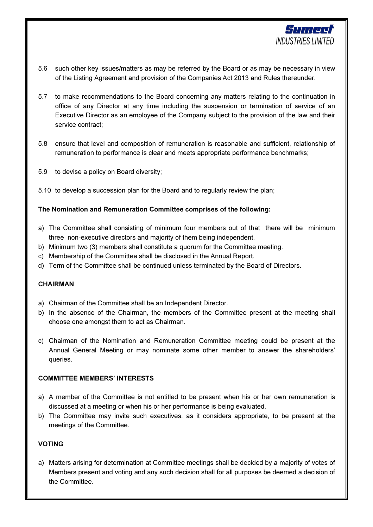

- 5.6 such other key issues/matters as may be referred by the Board or as may be necessary in view of the Listing Agreement and provision of the Companies Act 2013 and Rules thereunder.
- 5.7 to make recommendations to the Board concerning any matters relating to the continuation in office of any Director at any time including the suspension or termination of service of an Executive Director as an employee of the Company subject to the provision of the law and their service contract;
- 5.8 ensure that level and composition of remuneration is reasonable and sufficient, relationship of remuneration to performance is clear and meets appropriate performance benchmarks;
- 5.9 to devise a policy on Board diversity;
- 5.10 to develop a succession plan for the Board and to regularly review the plan;

## The Nomination and Remuneration Committee comprises of the following:

- a) The Committee shall consisting of minimum four members out of that there will be minimum three non-executive directors and majority of them being independent.
- b) Minimum two (3) members shall constitute a quorum for the Committee meeting.
- c) Membership of the Committee shall be disclosed in the Annual Report.
- d) Term of the Committee shall be continued unless terminated by the Board of Directors.

#### CHAIRMAN

- a) Chairman of the Committee shall be an Independent Director.
- b) In the absence of the Chairman, the members of the Committee present at the meeting shall choose one amongst them to act as Chairman.
- c) Chairman of the Nomination and Remuneration Committee meeting could be present at the Annual General Meeting or may nominate some other member to answer the shareholders' queries.

#### COMMITTEE MEMBERS' INTERESTS

- a) A member of the Committee is not entitled to be present when his or her own remuneration is discussed at a meeting or when his or her performance is being evaluated.
- b) The Committee may invite such executives, as it considers appropriate, to be present at the meetings of the Committee.

### VOTING

a) Matters arising for determination at Committee meetings shall be decided by a majority of votes of Members present and voting and any such decision shall for all purposes be deemed a decision of the Committee.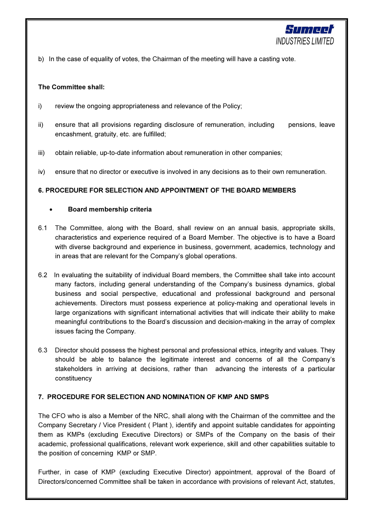

b) In the case of equality of votes, the Chairman of the meeting will have a casting vote.

## The Committee shall:

- i) review the ongoing appropriateness and relevance of the Policy;
- ii) ensure that all provisions regarding disclosure of remuneration, including pensions, leave encashment, gratuity, etc. are fulfilled;
- iii) obtain reliable, up-to-date information about remuneration in other companies;
- iv) ensure that no director or executive is involved in any decisions as to their own remuneration.

## 6. PROCEDURE FOR SELECTION AND APPOINTMENT OF THE BOARD MEMBERS

## • Board membership criteria

- 6.1 The Committee, along with the Board, shall review on an annual basis, appropriate skills, characteristics and experience required of a Board Member. The objective is to have a Board with diverse background and experience in business, government, academics, technology and in areas that are relevant for the Company's global operations.
- 6.2 In evaluating the suitability of individual Board members, the Committee shall take into account many factors, including general understanding of the Company's business dynamics, global business and social perspective, educational and professional background and personal achievements. Directors must possess experience at policy-making and operational levels in large organizations with significant international activities that will indicate their ability to make meaningful contributions to the Board's discussion and decision-making in the array of complex issues facing the Company.
- 6.3 Director should possess the highest personal and professional ethics, integrity and values. They should be able to balance the legitimate interest and concerns of all the Company's stakeholders in arriving at decisions, rather than advancing the interests of a particular constituency

#### 7. PROCEDURE FOR SELECTION AND NOMINATION OF KMP AND SMPS

The CFO who is also a Member of the NRC, shall along with the Chairman of the committee and the Company Secretary / Vice President ( Plant ), identify and appoint suitable candidates for appointing them as KMPs (excluding Executive Directors) or SMPs of the Company on the basis of their academic, professional qualifications, relevant work experience, skill and other capabilities suitable to the position of concerning KMP or SMP.

Further, in case of KMP (excluding Executive Director) appointment, approval of the Board of Directors/concerned Committee shall be taken in accordance with provisions of relevant Act, statutes,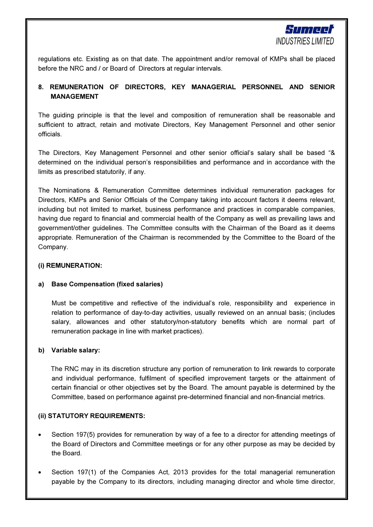

regulations etc. Existing as on that date. The appointment and/or removal of KMPs shall be placed before the NRC and / or Board of Directors at regular intervals.

# 8. REMUNERATION OF DIRECTORS, KEY MANAGERIAL PERSONNEL AND SENIOR MANAGEMENT

The guiding principle is that the level and composition of remuneration shall be reasonable and sufficient to attract, retain and motivate Directors, Key Management Personnel and other senior officials.

The Directors, Key Management Personnel and other senior official's salary shall be based "& determined on the individual person's responsibilities and performance and in accordance with the limits as prescribed statutorily, if any.

The Nominations & Remuneration Committee determines individual remuneration packages for Directors, KMPs and Senior Officials of the Company taking into account factors it deems relevant, including but not limited to market, business performance and practices in comparable companies, having due regard to financial and commercial health of the Company as well as prevailing laws and government/other guidelines. The Committee consults with the Chairman of the Board as it deems appropriate. Remuneration of the Chairman is recommended by the Committee to the Board of the Company.

## (i) REMUNERATION:

# a) Base Compensation (fixed salaries)

Must be competitive and reflective of the individual's role, responsibility and experience in relation to performance of day-to-day activities, usually reviewed on an annual basis; (includes salary, allowances and other statutory/non-statutory benefits which are normal part of remuneration package in line with market practices).

# b) Variable salary:

 The RNC may in its discretion structure any portion of remuneration to link rewards to corporate and individual performance, fulfilment of specified improvement targets or the attainment of certain financial or other objectives set by the Board. The amount payable is determined by the Committee, based on performance against pre-determined financial and non-financial metrics.

#### (ii) STATUTORY REQUIREMENTS:

- Section 197(5) provides for remuneration by way of a fee to a director for attending meetings of the Board of Directors and Committee meetings or for any other purpose as may be decided by the Board.
- Section 197(1) of the Companies Act, 2013 provides for the total managerial remuneration payable by the Company to its directors, including managing director and whole time director,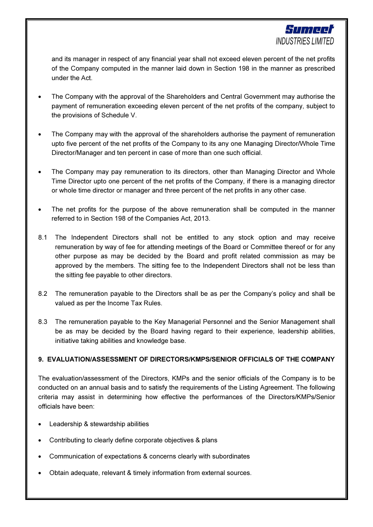

and its manager in respect of any financial year shall not exceed eleven percent of the net profits of the Company computed in the manner laid down in Section 198 in the manner as prescribed under the Act.

- The Company with the approval of the Shareholders and Central Government may authorise the payment of remuneration exceeding eleven percent of the net profits of the company, subject to the provisions of Schedule V.
- The Company may with the approval of the shareholders authorise the payment of remuneration upto five percent of the net profits of the Company to its any one Managing Director/Whole Time Director/Manager and ten percent in case of more than one such official.
- The Company may pay remuneration to its directors, other than Managing Director and Whole Time Director upto one percent of the net profits of the Company, if there is a managing director or whole time director or manager and three percent of the net profits in any other case.
- The net profits for the purpose of the above remuneration shall be computed in the manner referred to in Section 198 of the Companies Act, 2013.
- 8.1 The Independent Directors shall not be entitled to any stock option and may receive remuneration by way of fee for attending meetings of the Board or Committee thereof or for any other purpose as may be decided by the Board and profit related commission as may be approved by the members. The sitting fee to the Independent Directors shall not be less than the sitting fee payable to other directors.
- 8.2 The remuneration payable to the Directors shall be as per the Company's policy and shall be valued as per the Income Tax Rules.
- 8.3 The remuneration payable to the Key Managerial Personnel and the Senior Management shall be as may be decided by the Board having regard to their experience, leadership abilities, initiative taking abilities and knowledge base.

# 9. EVALUATION/ASSESSMENT OF DIRECTORS/KMPS/SENIOR OFFICIALS OF THE COMPANY

The evaluation/assessment of the Directors, KMPs and the senior officials of the Company is to be conducted on an annual basis and to satisfy the requirements of the Listing Agreement. The following criteria may assist in determining how effective the performances of the Directors/KMPs/Senior officials have been:

- Leadership & stewardship abilities
- Contributing to clearly define corporate objectives & plans
- Communication of expectations & concerns clearly with subordinates
- Obtain adequate, relevant & timely information from external sources.